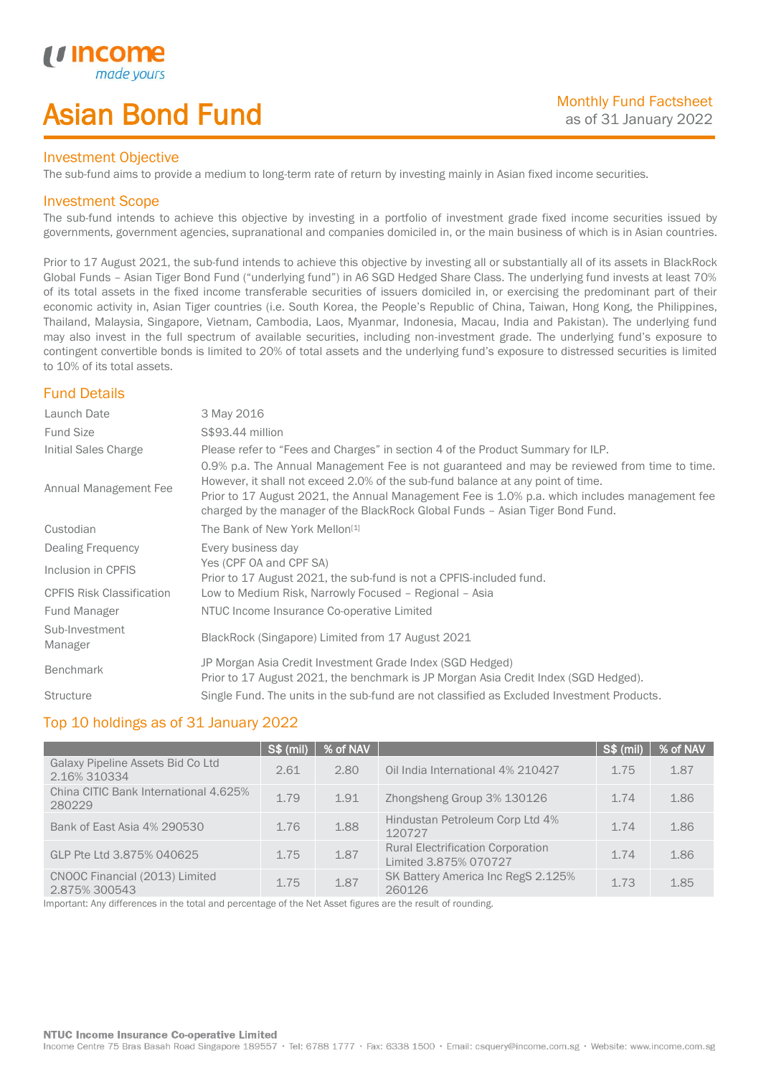# Asian Bond Fund

### Investment Objective

The sub-fund aims to provide a medium to long-term rate of return by investing mainly in Asian fixed income securities.

## Investment Scope

*u* incor

I

The sub-fund intends to achieve this objective by investing in a portfolio of investment grade fixed income securities issued by governments, government agencies, supranational and companies domiciled in, or the main business of which is in Asian countries.

Prior to 17 August 2021, the sub-fund intends to achieve this objective by investing all or substantially all of its assets in BlackRock Global Funds – Asian Tiger Bond Fund ("underlying fund") in A6 SGD Hedged Share Class. The underlying fund invests at least 70% of its total assets in the fixed income transferable securities of issuers domiciled in, or exercising the predominant part of their economic activity in, Asian Tiger countries (i.e. South Korea, the People's Republic of China, Taiwan, Hong Kong, the Philippines, Thailand, Malaysia, Singapore, Vietnam, Cambodia, Laos, Myanmar, Indonesia, Macau, India and Pakistan). The underlying fund may also invest in the full spectrum of available securities, including non-investment grade. The underlying fund's exposure to contingent convertible bonds is limited to 20% of total assets and the underlying fund's exposure to distressed securities is limited to 10% of its total assets.

# Fund Details

| Launch Date                      | 3 May 2016                                                                                                                                                                                                                                                                                                                                                        |
|----------------------------------|-------------------------------------------------------------------------------------------------------------------------------------------------------------------------------------------------------------------------------------------------------------------------------------------------------------------------------------------------------------------|
| <b>Fund Size</b>                 | S\$93.44 million                                                                                                                                                                                                                                                                                                                                                  |
| Initial Sales Charge             | Please refer to "Fees and Charges" in section 4 of the Product Summary for ILP.                                                                                                                                                                                                                                                                                   |
| Annual Management Fee            | 0.9% p.a. The Annual Management Fee is not guaranteed and may be reviewed from time to time.<br>However, it shall not exceed 2.0% of the sub-fund balance at any point of time.<br>Prior to 17 August 2021, the Annual Management Fee is 1.0% p.a. which includes management fee<br>charged by the manager of the BlackRock Global Funds - Asian Tiger Bond Fund. |
| Custodian                        | The Bank of New York Mellon <sup>[1]</sup>                                                                                                                                                                                                                                                                                                                        |
| Dealing Frequency                | Every business day                                                                                                                                                                                                                                                                                                                                                |
| Inclusion in CPFIS               | Yes (CPF OA and CPF SA)<br>Prior to 17 August 2021, the sub-fund is not a CPFIS-included fund.                                                                                                                                                                                                                                                                    |
| <b>CPFIS Risk Classification</b> | Low to Medium Risk, Narrowly Focused - Regional - Asia                                                                                                                                                                                                                                                                                                            |
| Fund Manager                     | NTUC Income Insurance Co-operative Limited                                                                                                                                                                                                                                                                                                                        |
| Sub-Investment<br>Manager        | BlackRock (Singapore) Limited from 17 August 2021                                                                                                                                                                                                                                                                                                                 |
| <b>Benchmark</b>                 | JP Morgan Asia Credit Investment Grade Index (SGD Hedged)<br>Prior to 17 August 2021, the benchmark is JP Morgan Asia Credit Index (SGD Hedged).                                                                                                                                                                                                                  |
| <b>Structure</b>                 | Single Fund. The units in the sub-fund are not classified as Excluded Investment Products.                                                                                                                                                                                                                                                                        |

# Top 10 holdings as of 31 January 2022

|                                                   | <b>S\$ (mil)</b> | % of NAV |                                                                   | S\$ (mil) | % of NAV |
|---------------------------------------------------|------------------|----------|-------------------------------------------------------------------|-----------|----------|
| Galaxy Pipeline Assets Bid Co Ltd<br>2.16% 310334 | 2.61             | 2.80     | Oil India International 4% 210427                                 | 175       | 1.87     |
| China CITIC Bank International 4.625%<br>280229   | 1.79             | 1.91     | Zhongsheng Group 3% 130126                                        | 1.74      | 1.86     |
| Bank of East Asia 4% 290530                       | 1.76             | 1.88     | Hindustan Petroleum Corp Ltd 4%<br>120727                         | 1 74      | 1.86     |
| GLP Pte Ltd 3.875% 040625                         | 1.75             | 1.87     | <b>Rural Electrification Corporation</b><br>Limited 3.875% 070727 | 1.74      | 1.86     |
| CNOOC Financial (2013) Limited<br>2.875% 300543   | 1.75             | 1.87     | SK Battery America Inc RegS 2.125%<br>260126                      | 1.73      | 1.85     |

Important: Any differences in the total and percentage of the Net Asset figures are the result of rounding.

#### NTUC Income Insurance Co-operative Limited

Income Centre 75 Bras Basah Road Singapore 189557 · Tel: 6788 1777 · Fax: 6338 1500 · Email: csquery@income.com.sg · Website: www.income.com.sg